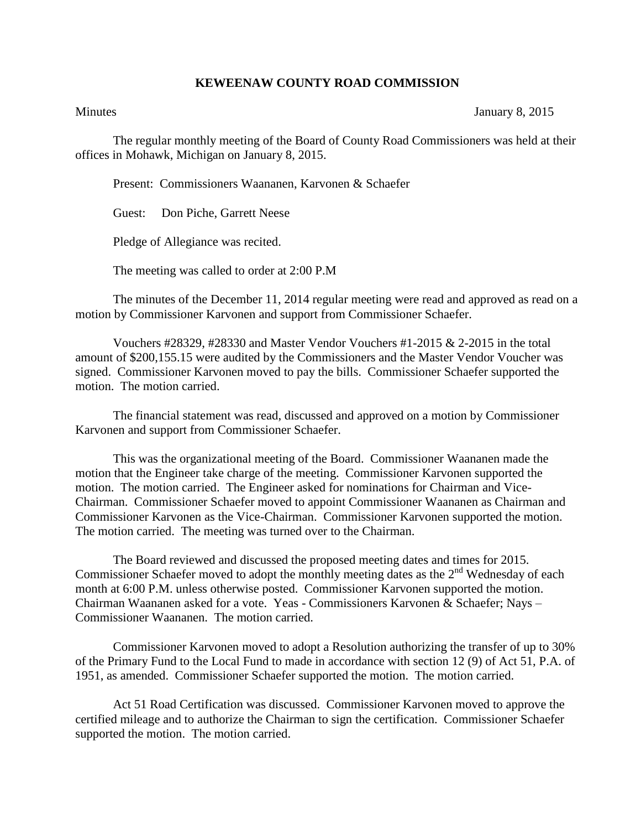## **KEWEENAW COUNTY ROAD COMMISSION**

Minutes January 8, 2015

The regular monthly meeting of the Board of County Road Commissioners was held at their offices in Mohawk, Michigan on January 8, 2015.

Present: Commissioners Waananen, Karvonen & Schaefer

Guest: Don Piche, Garrett Neese

Pledge of Allegiance was recited.

The meeting was called to order at 2:00 P.M

The minutes of the December 11, 2014 regular meeting were read and approved as read on a motion by Commissioner Karvonen and support from Commissioner Schaefer.

Vouchers #28329, #28330 and Master Vendor Vouchers #1-2015 & 2-2015 in the total amount of \$200,155.15 were audited by the Commissioners and the Master Vendor Voucher was signed. Commissioner Karvonen moved to pay the bills. Commissioner Schaefer supported the motion. The motion carried.

The financial statement was read, discussed and approved on a motion by Commissioner Karvonen and support from Commissioner Schaefer.

This was the organizational meeting of the Board. Commissioner Waananen made the motion that the Engineer take charge of the meeting. Commissioner Karvonen supported the motion. The motion carried. The Engineer asked for nominations for Chairman and Vice-Chairman. Commissioner Schaefer moved to appoint Commissioner Waananen as Chairman and Commissioner Karvonen as the Vice-Chairman. Commissioner Karvonen supported the motion. The motion carried. The meeting was turned over to the Chairman.

The Board reviewed and discussed the proposed meeting dates and times for 2015. Commissioner Schaefer moved to adopt the monthly meeting dates as the  $2<sup>nd</sup>$  Wednesday of each month at 6:00 P.M. unless otherwise posted. Commissioner Karvonen supported the motion. Chairman Waananen asked for a vote. Yeas - Commissioners Karvonen & Schaefer; Nays – Commissioner Waananen. The motion carried.

Commissioner Karvonen moved to adopt a Resolution authorizing the transfer of up to 30% of the Primary Fund to the Local Fund to made in accordance with section 12 (9) of Act 51, P.A. of 1951, as amended. Commissioner Schaefer supported the motion. The motion carried.

Act 51 Road Certification was discussed. Commissioner Karvonen moved to approve the certified mileage and to authorize the Chairman to sign the certification. Commissioner Schaefer supported the motion. The motion carried.